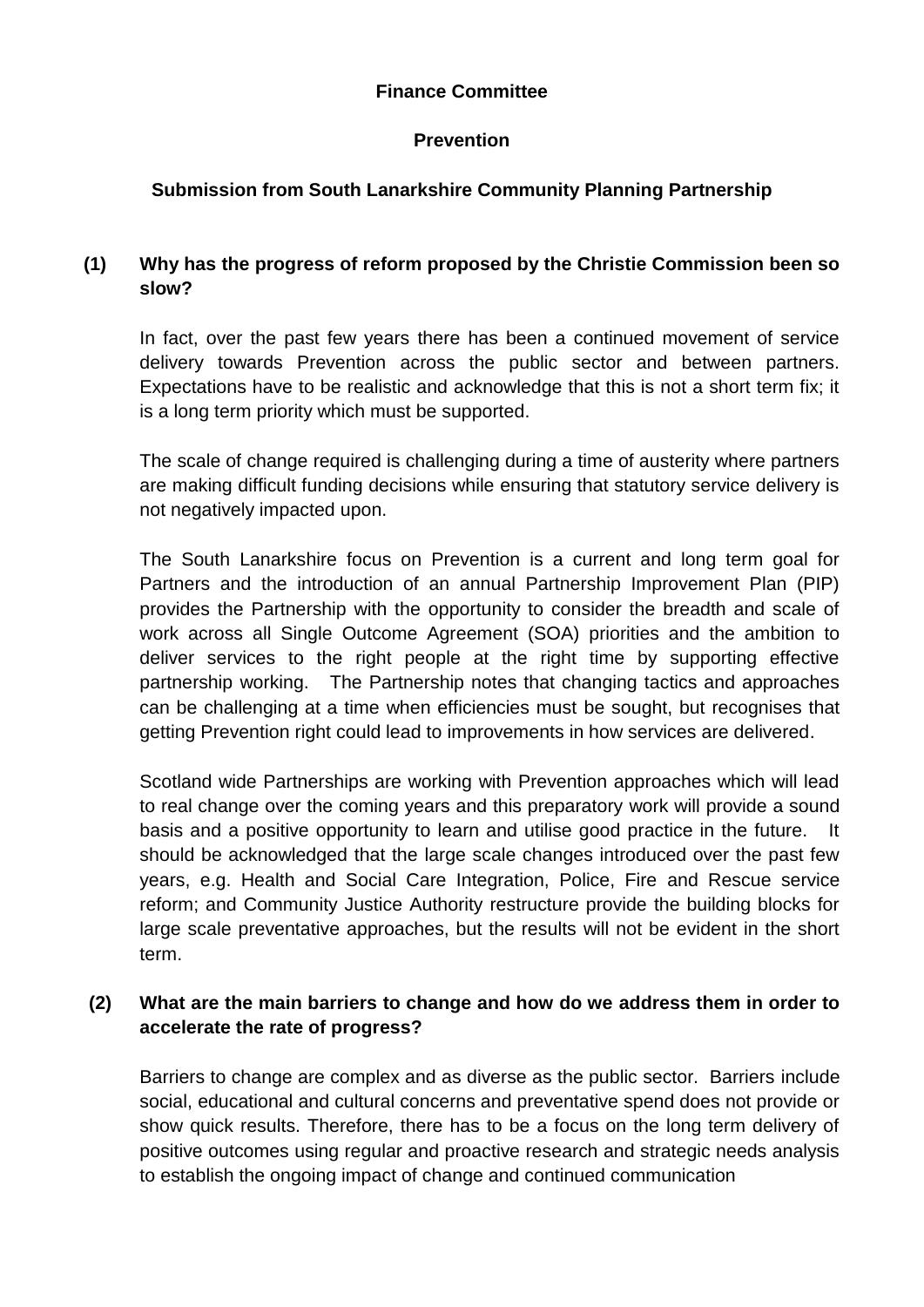#### **Finance Committee**

#### **Prevention**

## **Submission from South Lanarkshire Community Planning Partnership**

### **(1) Why has the progress of reform proposed by the Christie Commission been so slow?**

In fact, over the past few years there has been a continued movement of service delivery towards Prevention across the public sector and between partners. Expectations have to be realistic and acknowledge that this is not a short term fix; it is a long term priority which must be supported.

The scale of change required is challenging during a time of austerity where partners are making difficult funding decisions while ensuring that statutory service delivery is not negatively impacted upon.

The South Lanarkshire focus on Prevention is a current and long term goal for Partners and the introduction of an annual Partnership Improvement Plan (PIP) provides the Partnership with the opportunity to consider the breadth and scale of work across all Single Outcome Agreement (SOA) priorities and the ambition to deliver services to the right people at the right time by supporting effective partnership working. The Partnership notes that changing tactics and approaches can be challenging at a time when efficiencies must be sought, but recognises that getting Prevention right could lead to improvements in how services are delivered.

Scotland wide Partnerships are working with Prevention approaches which will lead to real change over the coming years and this preparatory work will provide a sound basis and a positive opportunity to learn and utilise good practice in the future. It should be acknowledged that the large scale changes introduced over the past few years, e.g. Health and Social Care Integration, Police, Fire and Rescue service reform; and Community Justice Authority restructure provide the building blocks for large scale preventative approaches, but the results will not be evident in the short term.

#### **(2) What are the main barriers to change and how do we address them in order to accelerate the rate of progress?**

Barriers to change are complex and as diverse as the public sector. Barriers include social, educational and cultural concerns and preventative spend does not provide or show quick results. Therefore, there has to be a focus on the long term delivery of positive outcomes using regular and proactive research and strategic needs analysis to establish the ongoing impact of change and continued communication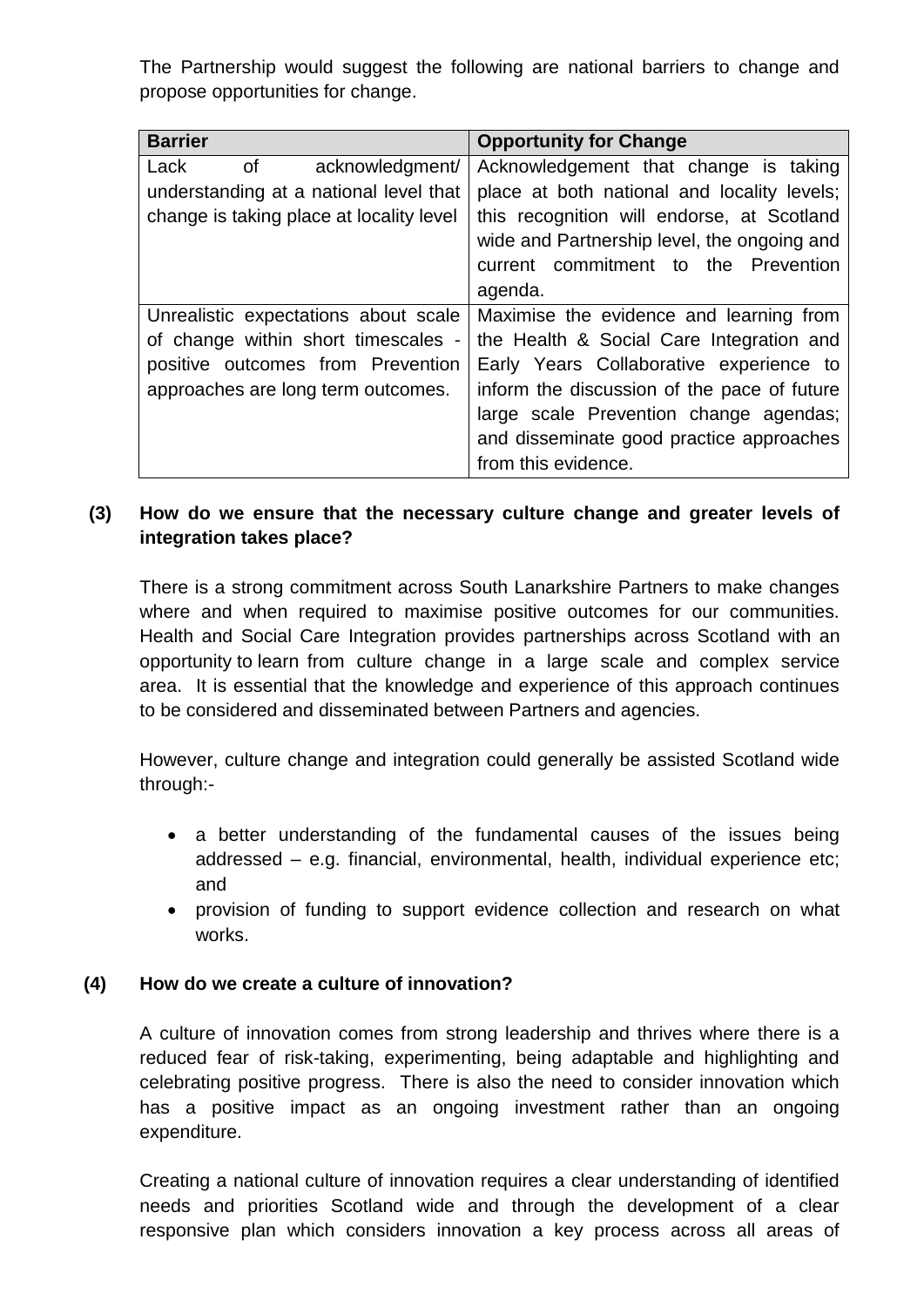The Partnership would suggest the following are national barriers to change and propose opportunities for change.

| <b>Barrier</b>                           | <b>Opportunity for Change</b>               |
|------------------------------------------|---------------------------------------------|
| of<br>Lack<br>acknowledgment/            | Acknowledgement that change is taking       |
| understanding at a national level that   | place at both national and locality levels; |
| change is taking place at locality level | this recognition will endorse, at Scotland  |
|                                          | wide and Partnership level, the ongoing and |
|                                          | current commitment to the Prevention        |
|                                          | agenda.                                     |
| Unrealistic expectations about scale     | Maximise the evidence and learning from     |
| of change within short timescales -      | the Health & Social Care Integration and    |
| positive outcomes from Prevention        | Early Years Collaborative experience to     |
| approaches are long term outcomes.       | inform the discussion of the pace of future |
|                                          | large scale Prevention change agendas;      |
|                                          | and disseminate good practice approaches    |
|                                          | from this evidence.                         |

#### **(3) How do we ensure that the necessary culture change and greater levels of integration takes place?**

There is a strong commitment across South Lanarkshire Partners to make changes where and when required to maximise positive outcomes for our communities. Health and Social Care Integration provides partnerships across Scotland with an opportunity to learn from culture change in a large scale and complex service area. It is essential that the knowledge and experience of this approach continues to be considered and disseminated between Partners and agencies.

However, culture change and integration could generally be assisted Scotland wide through:-

- a better understanding of the fundamental causes of the issues being addressed – e.g. financial, environmental, health, individual experience etc; and
- provision of funding to support evidence collection and research on what works.

#### **(4) How do we create a culture of innovation?**

A culture of innovation comes from strong leadership and thrives where there is a reduced fear of risk-taking, experimenting, being adaptable and highlighting and celebrating positive progress. There is also the need to consider innovation which has a positive impact as an ongoing investment rather than an ongoing expenditure.

Creating a national culture of innovation requires a clear understanding of identified needs and priorities Scotland wide and through the development of a clear responsive plan which considers innovation a key process across all areas of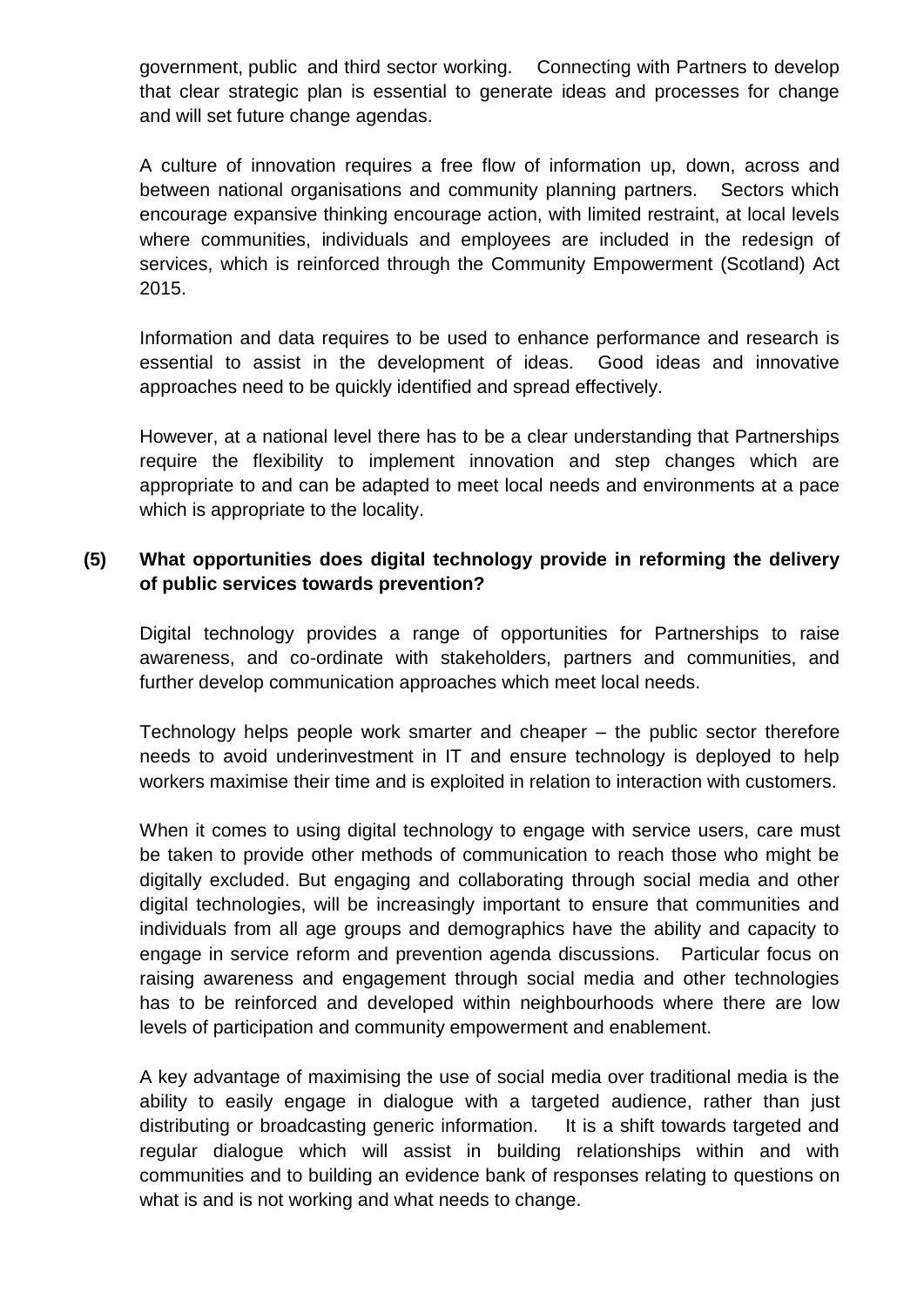government, public and third sector working. Connecting with Partners to develop that clear strategic plan is essential to generate ideas and processes for change and will set future change agendas.

A culture of innovation requires a free flow of information up, down, across and between national organisations and community planning partners. Sectors which encourage expansive thinking encourage action, with limited restraint, at local levels where communities, individuals and employees are included in the redesign of services, which is reinforced through the Community Empowerment (Scotland) Act 2015.

Information and data requires to be used to enhance performance and research is essential to assist in the development of ideas. Good ideas and innovative approaches need to be quickly identified and spread effectively.

However, at a national level there has to be a clear understanding that Partnerships require the flexibility to implement innovation and step changes which are appropriate to and can be adapted to meet local needs and environments at a pace which is appropriate to the locality.

## **(5) What opportunities does digital technology provide in reforming the delivery of public services towards prevention?**

Digital technology provides a range of opportunities for Partnerships to raise awareness, and co-ordinate with stakeholders, partners and communities, and further develop communication approaches which meet local needs.

Technology helps people work smarter and cheaper – the public sector therefore needs to avoid underinvestment in IT and ensure technology is deployed to help workers maximise their time and is exploited in relation to interaction with customers.

When it comes to using digital technology to engage with service users, care must be taken to provide other methods of communication to reach those who might be digitally excluded. But engaging and collaborating through social media and other digital technologies, will be increasingly important to ensure that communities and individuals from all age groups and demographics have the ability and capacity to engage in service reform and prevention agenda discussions. Particular focus on raising awareness and engagement through social media and other technologies has to be reinforced and developed within neighbourhoods where there are low levels of participation and community empowerment and enablement.

A key advantage of maximising the use of social media over traditional media is the ability to easily engage in dialogue with a targeted audience, rather than just distributing or broadcasting generic information. It is a shift towards targeted and regular dialogue which will assist in building relationships within and with communities and to building an evidence bank of responses relating to questions on what is and is not working and what needs to change.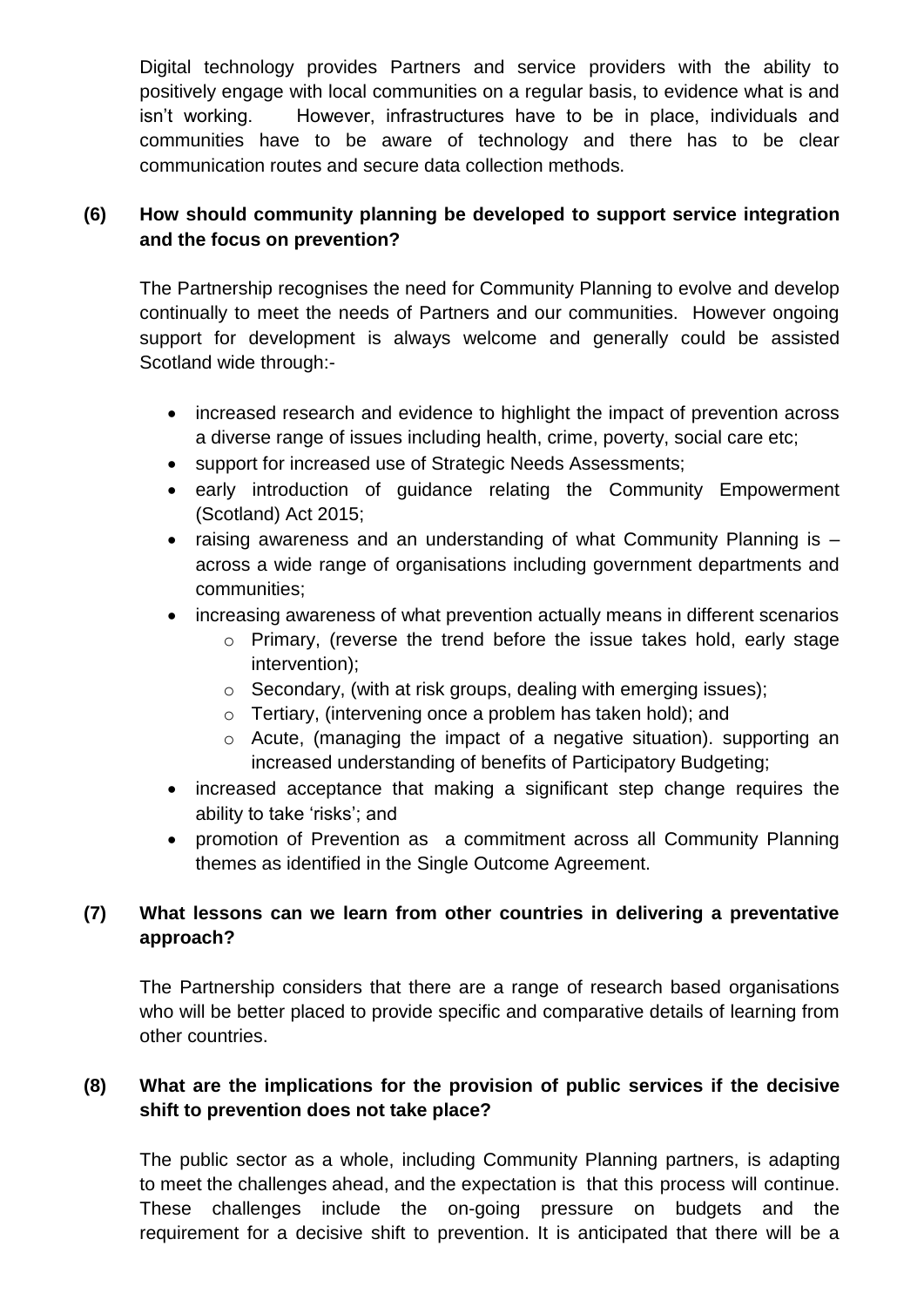Digital technology provides Partners and service providers with the ability to positively engage with local communities on a regular basis, to evidence what is and isn't working. However, infrastructures have to be in place, individuals and communities have to be aware of technology and there has to be clear communication routes and secure data collection methods.

### **(6) How should community planning be developed to support service integration and the focus on prevention?**

The Partnership recognises the need for Community Planning to evolve and develop continually to meet the needs of Partners and our communities. However ongoing support for development is always welcome and generally could be assisted Scotland wide through:-

- increased research and evidence to highlight the impact of prevention across a diverse range of issues including health, crime, poverty, social care etc;
- support for increased use of Strategic Needs Assessments;
- early introduction of quidance relating the Community Empowerment (Scotland) Act 2015;
- raising awareness and an understanding of what Community Planning is across a wide range of organisations including government departments and communities;
- increasing awareness of what prevention actually means in different scenarios
	- o Primary, (reverse the trend before the issue takes hold, early stage intervention);
	- o Secondary, (with at risk groups, dealing with emerging issues);
	- o Tertiary, (intervening once a problem has taken hold); and
	- o Acute, (managing the impact of a negative situation). supporting an increased understanding of benefits of Participatory Budgeting;
- increased acceptance that making a significant step change requires the ability to take 'risks'; and
- promotion of Prevention as a commitment across all Community Planning themes as identified in the Single Outcome Agreement.

# **(7) What lessons can we learn from other countries in delivering a preventative approach?**

The Partnership considers that there are a range of research based organisations who will be better placed to provide specific and comparative details of learning from other countries.

# **(8) What are the implications for the provision of public services if the decisive shift to prevention does not take place?**

The public sector as a whole, including Community Planning partners, is adapting to meet the challenges ahead, and the expectation is that this process will continue. These challenges include the on-going pressure on budgets and the requirement for a decisive shift to prevention. It is anticipated that there will be a